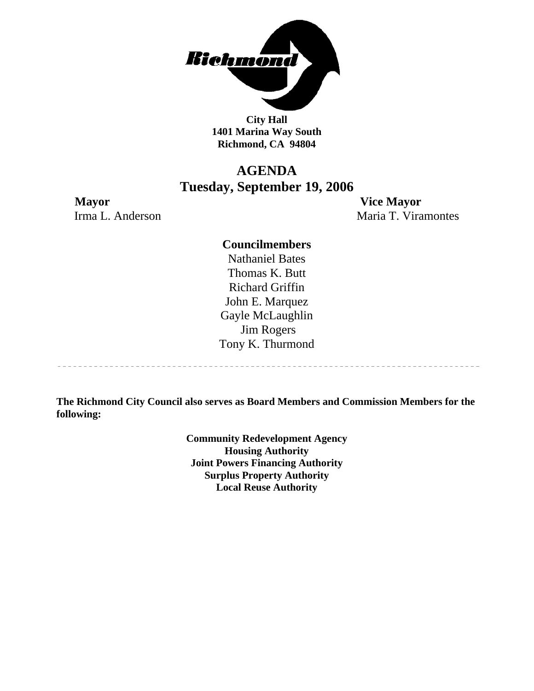

**City Hall 1401 Marina Way South Richmond, CA 94804** 

### **AGENDA Tuesday, September 19, 2006**

**Mayor Vice Mayor** Irma L. Anderson Maria T. Viramontes

-----------------------------------

#### **Councilmembers**

Nathaniel Bates Thomas K. Butt Richard Griffin John E. Marquez Gayle McLaughlin Jim Rogers Tony K. Thurmond

**The Richmond City Council also serves as Board Members and Commission Members for the following:** 

> **Community Redevelopment Agency Housing Authority Joint Powers Financing Authority Surplus Property Authority Local Reuse Authority**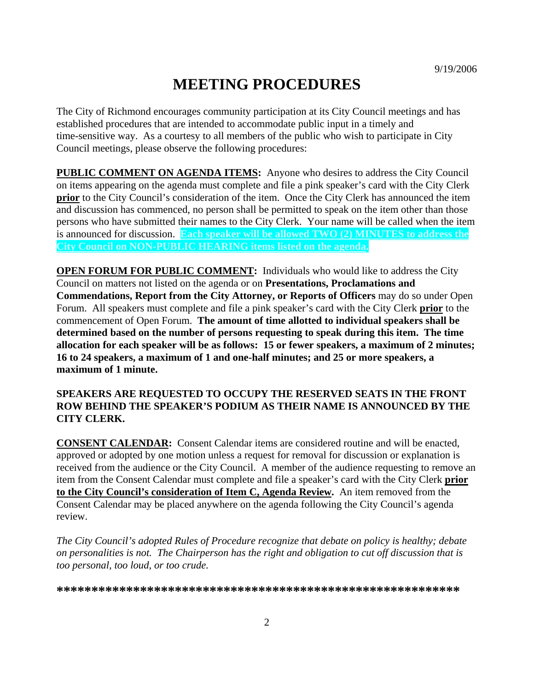# **MEETING PROCEDURES**

The City of Richmond encourages community participation at its City Council meetings and has established procedures that are intended to accommodate public input in a timely and time-sensitive way. As a courtesy to all members of the public who wish to participate in City Council meetings, please observe the following procedures:

**PUBLIC COMMENT ON AGENDA ITEMS:** Anyone who desires to address the City Council on items appearing on the agenda must complete and file a pink speaker's card with the City Clerk **prior** to the City Council's consideration of the item. Once the City Clerk has announced the item and discussion has commenced, no person shall be permitted to speak on the item other than those persons who have submitted their names to the City Clerk. Your name will be called when the item is announced for discussion. **Each speaker will be allowed TWO (2) MINUTES to address the City Council on NON-PUBLIC HEARING items listed on the agenda.** 

**OPEN FORUM FOR PUBLIC COMMENT:** Individuals who would like to address the City Council on matters not listed on the agenda or on **Presentations, Proclamations and Commendations, Report from the City Attorney, or Reports of Officers** may do so under Open Forum. All speakers must complete and file a pink speaker's card with the City Clerk **prior** to the commencement of Open Forum. **The amount of time allotted to individual speakers shall be determined based on the number of persons requesting to speak during this item. The time allocation for each speaker will be as follows: 15 or fewer speakers, a maximum of 2 minutes; 16 to 24 speakers, a maximum of 1 and one-half minutes; and 25 or more speakers, a maximum of 1 minute.** 

#### **SPEAKERS ARE REQUESTED TO OCCUPY THE RESERVED SEATS IN THE FRONT ROW BEHIND THE SPEAKER'S PODIUM AS THEIR NAME IS ANNOUNCED BY THE CITY CLERK.**

**CONSENT CALENDAR:** Consent Calendar items are considered routine and will be enacted, approved or adopted by one motion unless a request for removal for discussion or explanation is received from the audience or the City Council. A member of the audience requesting to remove an item from the Consent Calendar must complete and file a speaker's card with the City Clerk **prior to the City Council's consideration of Item C, Agenda Review.** An item removed from the Consent Calendar may be placed anywhere on the agenda following the City Council's agenda review.

*The City Council's adopted Rules of Procedure recognize that debate on policy is healthy; debate on personalities is not. The Chairperson has the right and obligation to cut off discussion that is too personal, too loud, or too crude.* 

**\*\*\*\*\*\*\*\*\*\*\*\*\*\*\*\*\*\*\*\*\*\*\*\*\*\*\*\*\*\*\*\*\*\*\*\*\*\*\*\*\*\*\*\*\*\*\*\*\*\*\*\*\*\*\*\*\*\***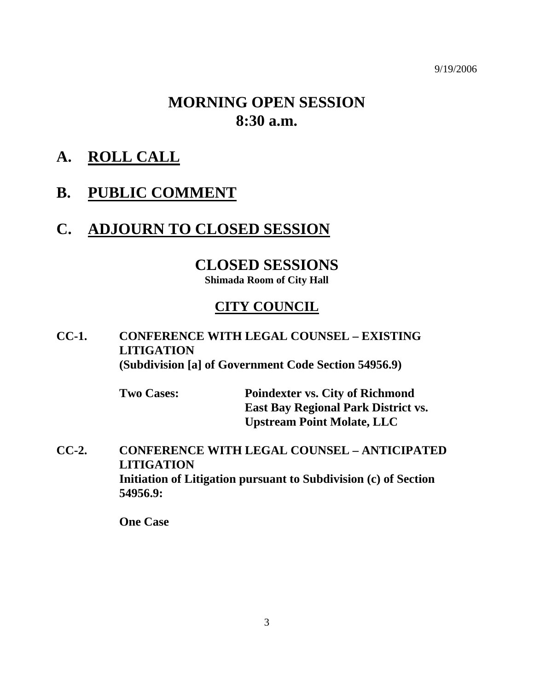9/19/2006

# **MORNING OPEN SESSION 8:30 a.m.**

- **A. ROLL CALL**
- **B. PUBLIC COMMENT**

# **C. ADJOURN TO CLOSED SESSION**

### **CLOSED SESSIONS**

**Shimada Room of City Hall** 

### **CITY COUNCIL**

### **CC-1. CONFERENCE WITH LEGAL COUNSEL – EXISTING LITIGATION (Subdivision [a] of Government Code Section 54956.9)**

| <b>Two Cases:</b> | <b>Poindexter vs. City of Richmond</b>     |
|-------------------|--------------------------------------------|
|                   | <b>East Bay Regional Park District vs.</b> |
|                   | <b>Upstream Point Molate, LLC</b>          |

**CC-2. CONFERENCE WITH LEGAL COUNSEL – ANTICIPATED LITIGATION Initiation of Litigation pursuant to Subdivision (c) of Section 54956.9:** 

 **One Case**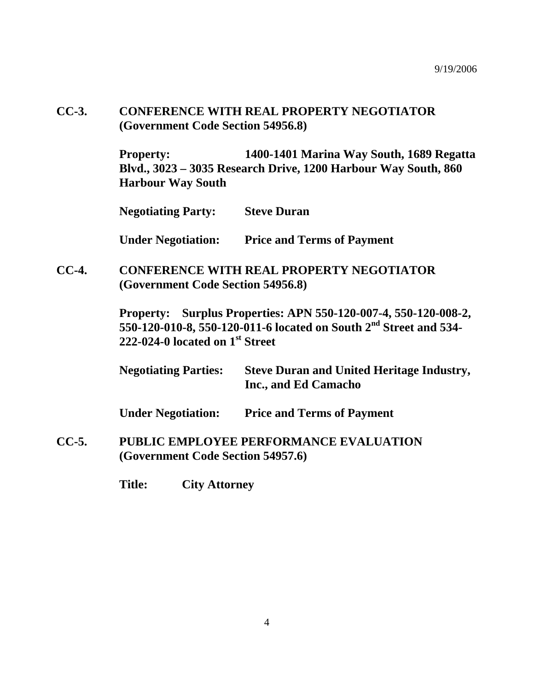### **CC-3. CONFERENCE WITH REAL PROPERTY NEGOTIATOR (Government Code Section 54956.8)**

**Property: 1400-1401 Marina Way South, 1689 Regatta Blvd., 3023 – 3035 Research Drive, 1200 Harbour Way South, 860 Harbour Way South** 

**Negotiating Party: Steve Duran** 

**Under Negotiation: Price and Terms of Payment** 

**CC-4. CONFERENCE WITH REAL PROPERTY NEGOTIATOR (Government Code Section 54956.8)** 

> **Property: Surplus Properties: APN 550-120-007-4, 550-120-008-2, 550-120-010-8, 550-120-011-6 located on South 2nd Street and 534- 222-024-0 located on 1st Street**

> **Negotiating Parties: Steve Duran and United Heritage Industry, Inc., and Ed Camacho**

 **Under Negotiation: Price and Terms of Payment** 

**CC-5. PUBLIC EMPLOYEE PERFORMANCE EVALUATION (Government Code Section 54957.6)** 

 **Title: City Attorney**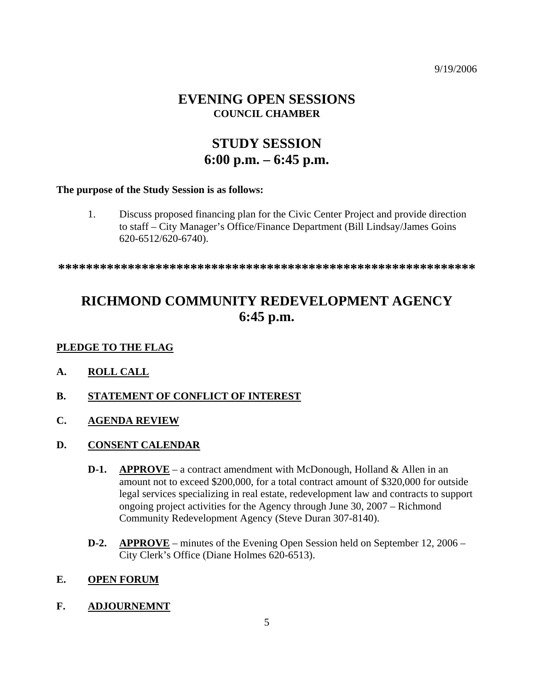9/19/2006

### **EVENING OPEN SESSIONS COUNCIL CHAMBER**

# **STUDY SESSION 6:00 p.m. – 6:45 p.m.**

#### **The purpose of the Study Session is as follows:**

1. Discuss proposed financing plan for the Civic Center Project and provide direction to staff – City Manager's Office/Finance Department (Bill Lindsay/James Goins 620-6512/620-6740).

**\*\*\*\*\*\*\*\*\*\*\*\*\*\*\*\*\*\*\*\*\*\*\*\*\*\*\*\*\*\*\*\*\*\*\*\*\*\*\*\*\*\*\*\*\*\*\*\*\*\*\*\*\*\*\*\*\*\*\*\*** 

# **RICHMOND COMMUNITY REDEVELOPMENT AGENCY 6:45 p.m.**

#### **PLEDGE TO THE FLAG**

- **A. ROLL CALL**
- **B. STATEMENT OF CONFLICT OF INTEREST**
- **C. AGENDA REVIEW**
- **D. CONSENT CALENDAR**
	- **D-1.** APPROVE a contract amendment with McDonough, Holland & Allen in an amount not to exceed \$200,000, for a total contract amount of \$320,000 for outside legal services specializing in real estate, redevelopment law and contracts to support ongoing project activities for the Agency through June 30, 2007 – Richmond Community Redevelopment Agency (Steve Duran 307-8140).
	- **D-2. APPROVE** minutes of the Evening Open Session held on September 12, 2006 City Clerk's Office (Diane Holmes 620-6513).

#### **E. OPEN FORUM**

#### **F. ADJOURNEMNT**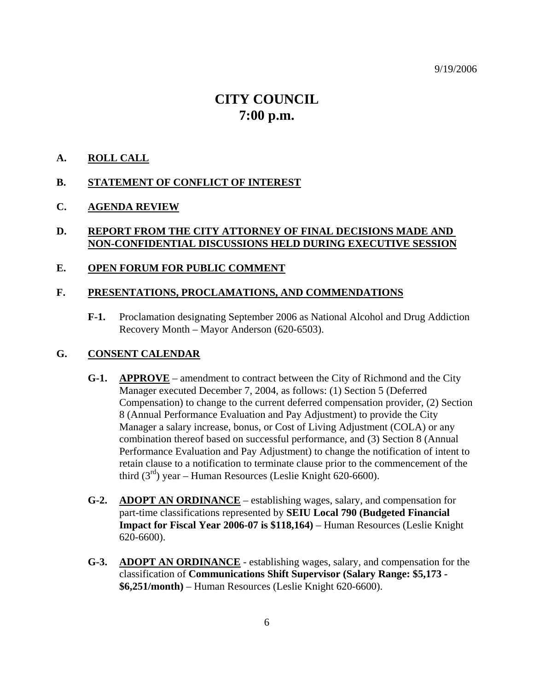9/19/2006

# **CITY COUNCIL 7:00 p.m.**

#### **A. ROLL CALL**

#### **B. STATEMENT OF CONFLICT OF INTEREST**

#### **C. AGENDA REVIEW**

#### **D. REPORT FROM THE CITY ATTORNEY OF FINAL DECISIONS MADE AND NON-CONFIDENTIAL DISCUSSIONS HELD DURING EXECUTIVE SESSION**

#### **E. OPEN FORUM FOR PUBLIC COMMENT**

#### **F. PRESENTATIONS, PROCLAMATIONS, AND COMMENDATIONS**

**F-1.** Proclamation designating September 2006 as National Alcohol and Drug Addiction Recovery Month – Mayor Anderson (620-6503).

#### **G. CONSENT CALENDAR**

- **G-1. APPROVE** amendment to contract between the City of Richmond and the City Manager executed December 7, 2004, as follows: (1) Section 5 (Deferred Compensation) to change to the current deferred compensation provider, (2) Section 8 (Annual Performance Evaluation and Pay Adjustment) to provide the City Manager a salary increase, bonus, or Cost of Living Adjustment (COLA) or any combination thereof based on successful performance, and (3) Section 8 (Annual Performance Evaluation and Pay Adjustment) to change the notification of intent to retain clause to a notification to terminate clause prior to the commencement of the third  $(3<sup>rd</sup>)$  year – Human Resources (Leslie Knight 620-6600).
- **G-2. ADOPT AN ORDINANCE** establishing wages, salary, and compensation for part-time classifications represented by **SEIU Local 790 (Budgeted Financial Impact for Fiscal Year 2006-07 is \$118,164)** – Human Resources (Leslie Knight 620-6600).
- **G-3. ADOPT AN ORDINANCE** establishing wages, salary, and compensation for the classification of **Communications Shift Supervisor (Salary Range: \$5,173 - \$6,251/month)** – Human Resources (Leslie Knight 620-6600).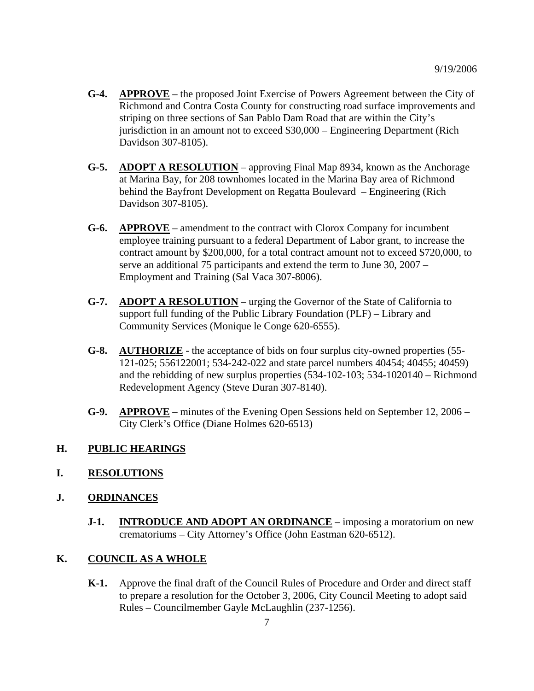- **G-4. APPROVE** the proposed Joint Exercise of Powers Agreement between the City of Richmond and Contra Costa County for constructing road surface improvements and striping on three sections of San Pablo Dam Road that are within the City's jurisdiction in an amount not to exceed \$30,000 – Engineering Department (Rich Davidson 307-8105).
- **G-5. ADOPT A RESOLUTION** approving Final Map 8934, known as the Anchorage at Marina Bay, for 208 townhomes located in the Marina Bay area of Richmond behind the Bayfront Development on Regatta Boulevard – Engineering (Rich Davidson 307-8105).
- **G-6. APPROVE** amendment to the contract with Clorox Company for incumbent employee training pursuant to a federal Department of Labor grant, to increase the contract amount by \$200,000, for a total contract amount not to exceed \$720,000, to serve an additional 75 participants and extend the term to June 30, 2007 – Employment and Training (Sal Vaca 307-8006).
- **G-7. ADOPT A RESOLUTION** urging the Governor of the State of California to support full funding of the Public Library Foundation (PLF) – Library and Community Services (Monique le Conge 620-6555).
- **G-8. AUTHORIZE** the acceptance of bids on four surplus city-owned properties (55- 121-025; 556122001; 534-242-022 and state parcel numbers 40454; 40455; 40459) and the rebidding of new surplus properties (534-102-103; 534-1020140 – Richmond Redevelopment Agency (Steve Duran 307-8140).
- **G-9. APPROVE** minutes of the Evening Open Sessions held on September 12, 2006 City Clerk's Office (Diane Holmes 620-6513)

#### **H. PUBLIC HEARINGS**

**I. RESOLUTIONS**

#### **J. ORDINANCES**

**J-1. INTRODUCE AND ADOPT AN ORDINANCE** – imposing a moratorium on new crematoriums – City Attorney's Office (John Eastman 620-6512).

#### **K. COUNCIL AS A WHOLE**

**K-1.** Approve the final draft of the Council Rules of Procedure and Order and direct staff to prepare a resolution for the October 3, 2006, City Council Meeting to adopt said Rules – Councilmember Gayle McLaughlin (237-1256).